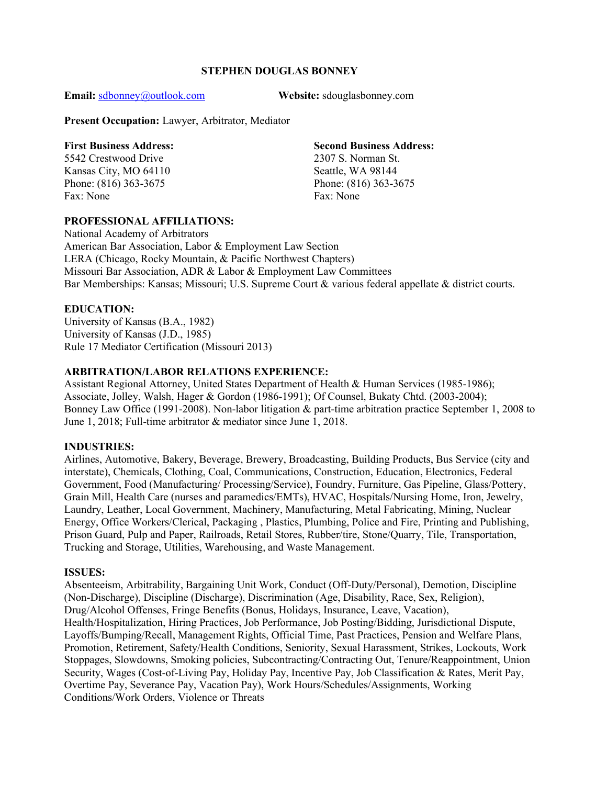### STEPHEN DOUGLAS BONNEY

Email: sdbonney@outlook.com Website: sdouglasbonney.com

Present Occupation: Lawyer, Arbitrator, Mediator

#### First Business Address: Second Business Address:

5542 Crestwood Drive 2307 S. Norman St. Fax: None Fax: None

### PROFESSIONAL AFFILIATIONS:

Kansas City, MO 64110 Seattle, WA 98144 Phone: (816) 363-3675 Phone: (816) 363-3675

National Academy of Arbitrators American Bar Association, Labor & Employment Law Section LERA (Chicago, Rocky Mountain, & Pacific Northwest Chapters) Missouri Bar Association, ADR & Labor & Employment Law Committees Bar Memberships: Kansas; Missouri; U.S. Supreme Court & various federal appellate & district courts.

## EDUCATION:

University of Kansas (B.A., 1982) University of Kansas (J.D., 1985) Rule 17 Mediator Certification (Missouri 2013)

## ARBITRATION/LABOR RELATIONS EXPERIENCE:

Assistant Regional Attorney, United States Department of Health & Human Services (1985-1986); Associate, Jolley, Walsh, Hager & Gordon (1986-1991); Of Counsel, Bukaty Chtd. (2003-2004); Bonney Law Office (1991-2008). Non-labor litigation & part-time arbitration practice September 1, 2008 to June 1, 2018; Full-time arbitrator & mediator since June 1, 2018.

### INDUSTRIES:

Airlines, Automotive, Bakery, Beverage, Brewery, Broadcasting, Building Products, Bus Service (city and interstate), Chemicals, Clothing, Coal, Communications, Construction, Education, Electronics, Federal Government, Food (Manufacturing/ Processing/Service), Foundry, Furniture, Gas Pipeline, Glass/Pottery, Grain Mill, Health Care (nurses and paramedics/EMTs), HVAC, Hospitals/Nursing Home, Iron, Jewelry, Laundry, Leather, Local Government, Machinery, Manufacturing, Metal Fabricating, Mining, Nuclear Energy, Office Workers/Clerical, Packaging , Plastics, Plumbing, Police and Fire, Printing and Publishing, Prison Guard, Pulp and Paper, Railroads, Retail Stores, Rubber/tire, Stone/Quarry, Tile, Transportation, Trucking and Storage, Utilities, Warehousing, and Waste Management.

## ISSUES:

Absenteeism, Arbitrability, Bargaining Unit Work, Conduct (Off-Duty/Personal), Demotion, Discipline (Non-Discharge), Discipline (Discharge), Discrimination (Age, Disability, Race, Sex, Religion), Drug/Alcohol Offenses, Fringe Benefits (Bonus, Holidays, Insurance, Leave, Vacation), Health/Hospitalization, Hiring Practices, Job Performance, Job Posting/Bidding, Jurisdictional Dispute, Layoffs/Bumping/Recall, Management Rights, Official Time, Past Practices, Pension and Welfare Plans, Promotion, Retirement, Safety/Health Conditions, Seniority, Sexual Harassment, Strikes, Lockouts, Work Stoppages, Slowdowns, Smoking policies, Subcontracting/Contracting Out, Tenure/Reappointment, Union Security, Wages (Cost-of-Living Pay, Holiday Pay, Incentive Pay, Job Classification & Rates, Merit Pay, Overtime Pay, Severance Pay, Vacation Pay), Work Hours/Schedules/Assignments, Working Conditions/Work Orders, Violence or Threats